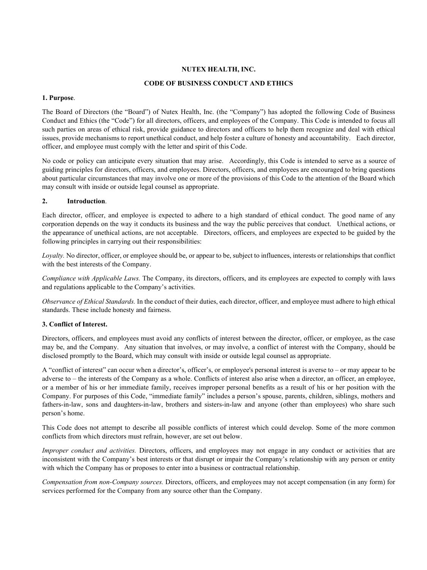# **NUTEX HEALTH, INC.**

## **CODE OF BUSINESS CONDUCT AND ETHICS**

### **1. Purpose**.

The Board of Directors (the "Board") of Nutex Health, Inc. (the "Company") has adopted the following Code of Business Conduct and Ethics (the "Code") for all directors, officers, and employees of the Company. This Code is intended to focus all such parties on areas of ethical risk, provide guidance to directors and officers to help them recognize and deal with ethical issues, provide mechanisms to report unethical conduct, and help foster a culture of honesty and accountability. Each director, officer, and employee must comply with the letter and spirit of this Code.

No code or policy can anticipate every situation that may arise. Accordingly, this Code is intended to serve as a source of guiding principles for directors, officers, and employees. Directors, officers, and employees are encouraged to bring questions about particular circumstances that may involve one or more of the provisions of this Code to the attention of the Board which may consult with inside or outside legal counsel as appropriate.

# **2. Introduction**.

Each director, officer, and employee is expected to adhere to a high standard of ethical conduct. The good name of any corporation depends on the way it conducts its business and the way the public perceives that conduct. Unethical actions, or the appearance of unethical actions, are not acceptable. Directors, officers, and employees are expected to be guided by the following principles in carrying out their responsibilities:

*Loyalty.* No director, officer, or employee should be, or appear to be, subject to influences, interests or relationships that conflict with the best interests of the Company.

*Compliance with Applicable Laws.* The Company, its directors, officers, and its employees are expected to comply with laws and regulations applicable to the Company's activities.

*Observance of Ethical Standards.* In the conduct of their duties, each director, officer, and employee must adhere to high ethical standards. These include honesty and fairness.

## **3. Conflict of Interest.**

Directors, officers, and employees must avoid any conflicts of interest between the director, officer, or employee, as the case may be, and the Company. Any situation that involves, or may involve, a conflict of interest with the Company, should be disclosed promptly to the Board, which may consult with inside or outside legal counsel as appropriate.

A "conflict of interest" can occur when a director's, officer's, or employee's personal interest is averse to – or may appear to be adverse to – the interests of the Company as a whole. Conflicts of interest also arise when a director, an officer, an employee, or a member of his or her immediate family, receives improper personal benefits as a result of his or her position with the Company. For purposes of this Code, "immediate family" includes a person's spouse, parents, children, siblings, mothers and fathers-in-law, sons and daughters-in-law, brothers and sisters-in-law and anyone (other than employees) who share such person's home.

This Code does not attempt to describe all possible conflicts of interest which could develop. Some of the more common conflicts from which directors must refrain, however, are set out below.

*Improper conduct and activities.* Directors, officers, and employees may not engage in any conduct or activities that are inconsistent with the Company's best interests or that disrupt or impair the Company's relationship with any person or entity with which the Company has or proposes to enter into a business or contractual relationship.

*Compensation from non-Company sources.* Directors, officers, and employees may not accept compensation (in any form) for services performed for the Company from any source other than the Company.